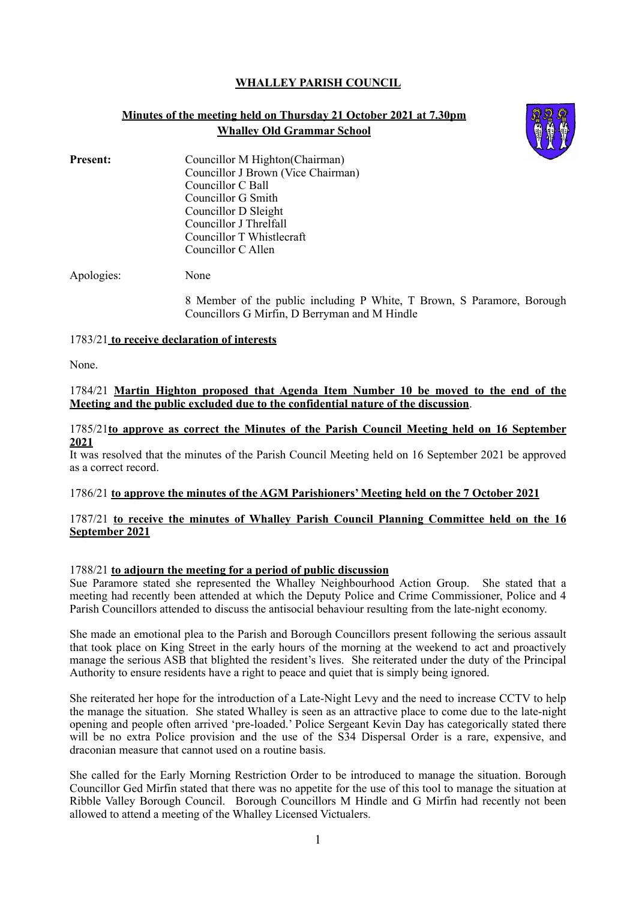# **WHALLEY PARISH COUNCIL**

# **Minutes of the meeting held on Thursday 21 October 2021 at 7.30pm Whalley Old Grammar School**



**Present:** Councillor M Highton(Chairman) Councillor J Brown (Vice Chairman) Councillor C Ball Councillor G Smith Councillor D Sleight Councillor J Threlfall Councillor T Whistlecraft Councillor C Allen

Apologies: None

8 Member of the public including P White, T Brown, S Paramore, Borough Councillors G Mirfin, D Berryman and M Hindle

#### 1783/21 **to receive declaration of interests**

None.

## 1784/21 **Martin Highton proposed that Agenda Item Number 10 be moved to the end of the Meeting and the public excluded due to the confidential nature of the discussion**.

### 1785/21**to approve as correct the Minutes of the Parish Council Meeting held on 16 September 2021**

It was resolved that the minutes of the Parish Council Meeting held on 16 September 2021 be approved as a correct record.

## 1786/21 **to approve the minutes of the AGM Parishioners' Meeting held on the 7 October 2021**

## 1787/21 **to receive the minutes of Whalley Parish Council Planning Committee held on the 16 September 2021**

## 1788/21 **to adjourn the meeting for a period of public discussion**

Sue Paramore stated she represented the Whalley Neighbourhood Action Group. She stated that a meeting had recently been attended at which the Deputy Police and Crime Commissioner, Police and 4 Parish Councillors attended to discuss the antisocial behaviour resulting from the late-night economy.

She made an emotional plea to the Parish and Borough Councillors present following the serious assault that took place on King Street in the early hours of the morning at the weekend to act and proactively manage the serious ASB that blighted the resident's lives. She reiterated under the duty of the Principal Authority to ensure residents have a right to peace and quiet that is simply being ignored.

She reiterated her hope for the introduction of a Late-Night Levy and the need to increase CCTV to help the manage the situation. She stated Whalley is seen as an attractive place to come due to the late-night opening and people often arrived 'pre-loaded.' Police Sergeant Kevin Day has categorically stated there will be no extra Police provision and the use of the S34 Dispersal Order is a rare, expensive, and draconian measure that cannot used on a routine basis.

She called for the Early Morning Restriction Order to be introduced to manage the situation. Borough Councillor Ged Mirfin stated that there was no appetite for the use of this tool to manage the situation at Ribble Valley Borough Council. Borough Councillors M Hindle and G Mirfin had recently not been allowed to attend a meeting of the Whalley Licensed Victualers.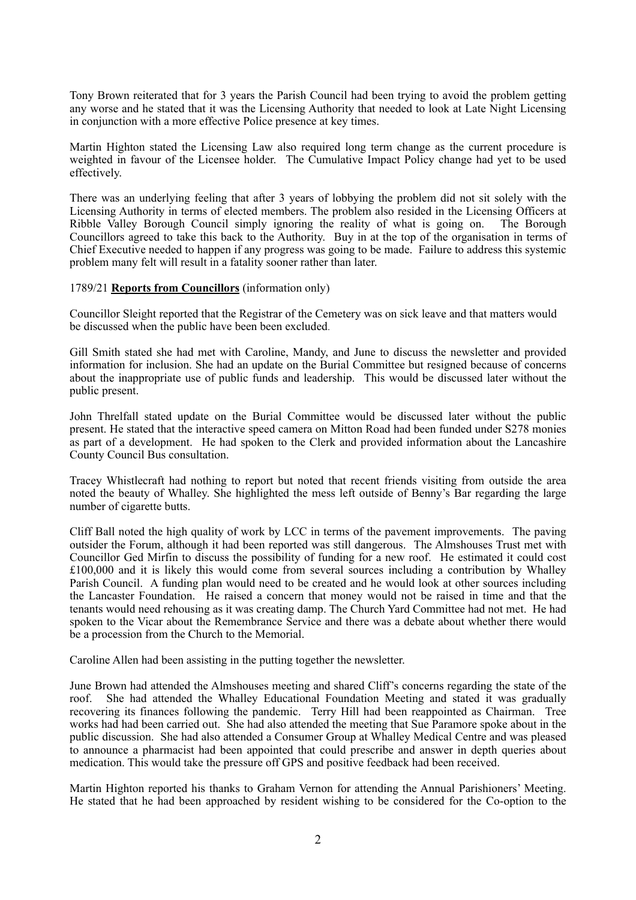Tony Brown reiterated that for 3 years the Parish Council had been trying to avoid the problem getting any worse and he stated that it was the Licensing Authority that needed to look at Late Night Licensing in conjunction with a more effective Police presence at key times.

Martin Highton stated the Licensing Law also required long term change as the current procedure is weighted in favour of the Licensee holder. The Cumulative Impact Policy change had yet to be used effectively.

There was an underlying feeling that after 3 years of lobbying the problem did not sit solely with the Licensing Authority in terms of elected members. The problem also resided in the Licensing Officers at Ribble Valley Borough Council simply ignoring the reality of what is going on. The Borough Councillors agreed to take this back to the Authority. Buy in at the top of the organisation in terms of Chief Executive needed to happen if any progress was going to be made. Failure to address this systemic problem many felt will result in a fatality sooner rather than later.

#### 1789/21 **Reports from Councillors** (information only)

Councillor Sleight reported that the Registrar of the Cemetery was on sick leave and that matters would be discussed when the public have been been excluded.

Gill Smith stated she had met with Caroline, Mandy, and June to discuss the newsletter and provided information for inclusion. She had an update on the Burial Committee but resigned because of concerns about the inappropriate use of public funds and leadership. This would be discussed later without the public present.

John Threlfall stated update on the Burial Committee would be discussed later without the public present. He stated that the interactive speed camera on Mitton Road had been funded under S278 monies as part of a development. He had spoken to the Clerk and provided information about the Lancashire County Council Bus consultation.

Tracey Whistlecraft had nothing to report but noted that recent friends visiting from outside the area noted the beauty of Whalley. She highlighted the mess left outside of Benny's Bar regarding the large number of cigarette butts.

Cliff Ball noted the high quality of work by LCC in terms of the pavement improvements. The paving outsider the Forum, although it had been reported was still dangerous. The Almshouses Trust met with Councillor Ged Mirfin to discuss the possibility of funding for a new roof. He estimated it could cost £100,000 and it is likely this would come from several sources including a contribution by Whalley Parish Council. A funding plan would need to be created and he would look at other sources including the Lancaster Foundation. He raised a concern that money would not be raised in time and that the tenants would need rehousing as it was creating damp. The Church Yard Committee had not met. He had spoken to the Vicar about the Remembrance Service and there was a debate about whether there would be a procession from the Church to the Memorial.

Caroline Allen had been assisting in the putting together the newsletter.

June Brown had attended the Almshouses meeting and shared Cliff's concerns regarding the state of the roof. She had attended the Whalley Educational Foundation Meeting and stated it was gradually She had attended the Whalley Educational Foundation Meeting and stated it was gradually recovering its finances following the pandemic. Terry Hill had been reappointed as Chairman. Tree works had had been carried out. She had also attended the meeting that Sue Paramore spoke about in the public discussion. She had also attended a Consumer Group at Whalley Medical Centre and was pleased to announce a pharmacist had been appointed that could prescribe and answer in depth queries about medication. This would take the pressure off GPS and positive feedback had been received.

Martin Highton reported his thanks to Graham Vernon for attending the Annual Parishioners' Meeting. He stated that he had been approached by resident wishing to be considered for the Co-option to the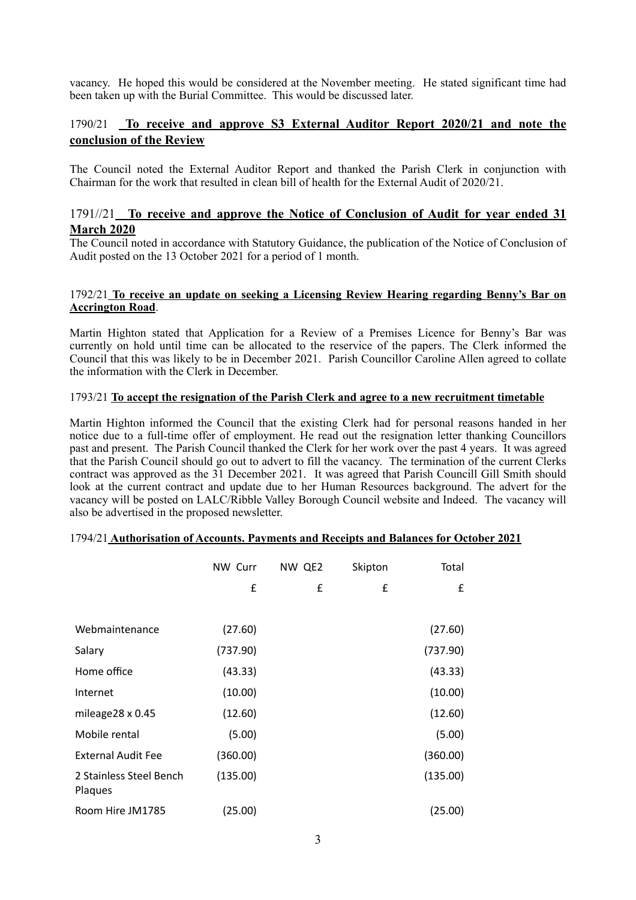vacancy. He hoped this would be considered at the November meeting. He stated significant time had been taken up with the Burial Committee. This would be discussed later.

# 1790/21 **To receive and approve S3 External Auditor Report 2020/21 and note the conclusion of the Review**

The Council noted the External Auditor Report and thanked the Parish Clerk in conjunction with Chairman for the work that resulted in clean bill of health for the External Audit of 2020/21.

# 1791//21 **To receive and approve the Notice of Conclusion of Audit for year ended 31 March 2020**

The Council noted in accordance with Statutory Guidance, the publication of the Notice of Conclusion of Audit posted on the 13 October 2021 for a period of 1 month.

### 1792/21 **To receive an update on seeking a Licensing Review Hearing regarding Benny's Bar on Accrington Road**.

Martin Highton stated that Application for a Review of a Premises Licence for Benny's Bar was currently on hold until time can be allocated to the reservice of the papers. The Clerk informed the Council that this was likely to be in December 2021. Parish Councillor Caroline Allen agreed to collate the information with the Clerk in December.

## 1793/21 **To accept the resignation of the Parish Clerk and agree to a new recruitment timetable**

Martin Highton informed the Council that the existing Clerk had for personal reasons handed in her notice due to a full-time offer of employment. He read out the resignation letter thanking Councillors past and present. The Parish Council thanked the Clerk for her work over the past 4 years. It was agreed that the Parish Council should go out to advert to fill the vacancy. The termination of the current Clerks contract was approved as the 31 December 2021. It was agreed that Parish Councill Gill Smith should look at the current contract and update due to her Human Resources background. The advert for the vacancy will be posted on LALC/Ribble Valley Borough Council website and Indeed. The vacancy will also be advertised in the proposed newsletter.

|                                    | NW Curr  | NW QE2 | Skipton | Total    |  |
|------------------------------------|----------|--------|---------|----------|--|
|                                    | £        | £      | £       | £        |  |
|                                    |          |        |         |          |  |
| Webmaintenance                     | (27.60)  |        |         | (27.60)  |  |
| Salary                             | (737.90) |        |         | (737.90) |  |
| Home office                        | (43.33)  |        |         | (43.33)  |  |
| Internet                           | (10.00)  |        |         | (10.00)  |  |
| mileage28 x 0.45                   | (12.60)  |        |         | (12.60)  |  |
| Mobile rental                      | (5.00)   |        |         | (5.00)   |  |
| <b>External Audit Fee</b>          | (360.00) |        |         | (360.00) |  |
| 2 Stainless Steel Bench<br>Plaques | (135.00) |        |         | (135.00) |  |
| Room Hire JM1785                   | (25.00)  |        |         | (25.00)  |  |

# 1794/21 **Authorisation of Accounts. Payments and Receipts and Balances for October 2021**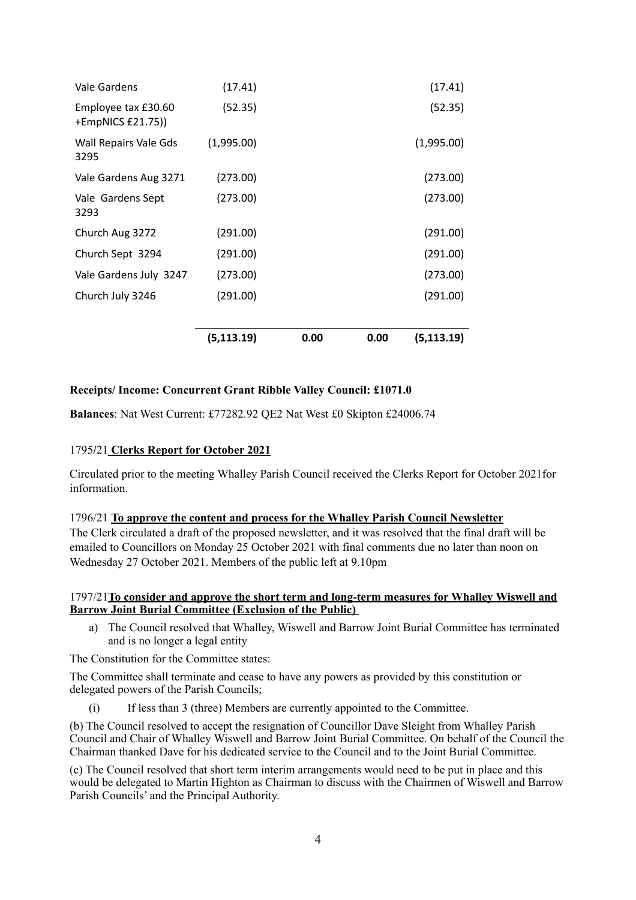| Vale Gardens                             | (17.41)     |      |      | (17.41)     |
|------------------------------------------|-------------|------|------|-------------|
| Employee tax £30.60<br>+EmpNICS £21.75)) | (52.35)     |      |      | (52.35)     |
| Wall Repairs Vale Gds<br>3295            | (1,995.00)  |      |      | (1,995.00)  |
| Vale Gardens Aug 3271                    | (273.00)    |      |      | (273.00)    |
| Vale Gardens Sept<br>3293                | (273.00)    |      |      | (273.00)    |
| Church Aug 3272                          | (291.00)    |      |      | (291.00)    |
| Church Sept 3294                         | (291.00)    |      |      | (291.00)    |
| Vale Gardens July 3247                   | (273.00)    |      |      | (273.00)    |
| Church July 3246                         | (291.00)    |      |      | (291.00)    |
|                                          | (5, 113.19) | 0.00 | 0.00 | (5, 113.19) |

# **Receipts/ Income: Concurrent Grant Ribble Valley Council: £1071.0**

**Balances**: Nat West Current: £77282.92 QE2 Nat West £0 Skipton £24006.74

## 1795**/**21 **Clerks Report for October 2021**

Circulated prior to the meeting Whalley Parish Council received the Clerks Report for October 2021for information.

## 1796/21 **To approve the content and process for the Whalley Parish Council Newsletter**

The Clerk circulated a draft of the proposed newsletter, and it was resolved that the final draft will be emailed to Councillors on Monday 25 October 2021 with final comments due no later than noon on Wednesday 27 October 2021. Members of the public left at 9.10pm

# 1797/21**To consider and approve the short term and long-term measures for Whalley Wiswell and Barrow Joint Burial Committee (Exclusion of the Public)**

a) The Council resolved that Whalley, Wiswell and Barrow Joint Burial Committee has terminated and is no longer a legal entity

The Constitution for the Committee states:

The Committee shall terminate and cease to have any powers as provided by this constitution or delegated powers of the Parish Councils;

(i) If less than 3 (three) Members are currently appointed to the Committee.

(b) The Council resolved to accept the resignation of Councillor Dave Sleight from Whalley Parish Council and Chair of Whalley Wiswell and Barrow Joint Burial Committee. On behalf of the Council the Chairman thanked Dave for his dedicated service to the Council and to the Joint Burial Committee.

(c) The Council resolved that short term interim arrangements would need to be put in place and this would be delegated to Martin Highton as Chairman to discuss with the Chairmen of Wiswell and Barrow Parish Councils' and the Principal Authority.